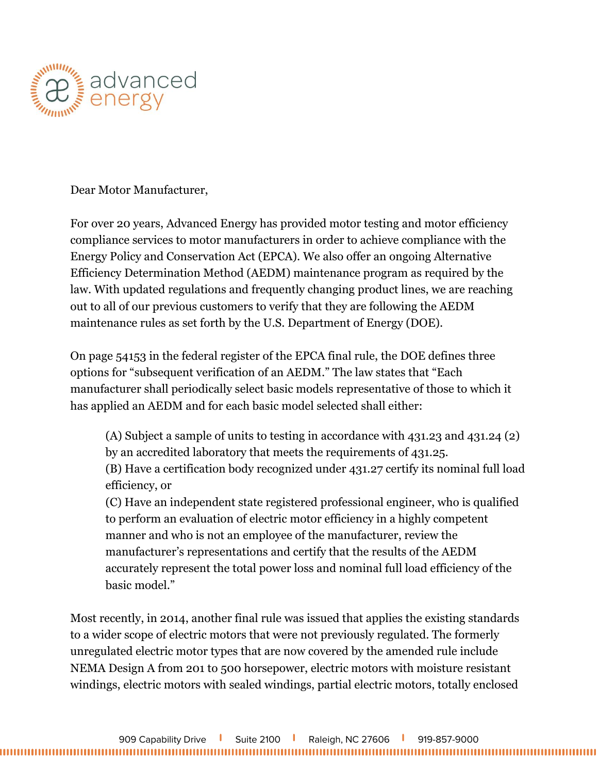

Dear Motor Manufacturer,

For over 20 years, Advanced Energy has provided motor testing and motor efficiency compliance services to motor manufacturers in order to achieve compliance with the Energy Policy and Conservation Act (EPCA). We also offer an ongoing Alternative Efficiency Determination Method (AEDM) maintenance program as required by the law. With updated regulations and frequently changing product lines, we are reaching out to all of our previous customers to verify that they are following the AEDM maintenance rules as set forth by the U.S. Department of Energy (DOE).

On page 54153 in the federal register of the EPCA final rule, the DOE defines three options for "subsequent verification of an AEDM." The law states that "Each manufacturer shall periodically select basic models representative of those to which it has applied an AEDM and for each basic model selected shall either:

(A) Subject a sample of units to testing in accordance with 431.23 and 431.24 (2) by an accredited laboratory that meets the requirements of 431.25. (B) Have a certification body recognized under 431.27 certify its nominal full load efficiency, or (C) Have an independent state registered professional engineer, who is qualified to perform an evaluation of electric motor efficiency in a highly competent manner and who is not an employee of the manufacturer, review the manufacturer's representations and certify that the results of the AEDM

accurately represent the total power loss and nominal full load efficiency of the basic model."

Most recently, in 2014, another final rule was issued that applies the existing standards to a wider scope of electric motors that were not previously regulated. The formerly unregulated electric motor types that are now covered by the amended rule include NEMA Design A from 201 to 500 horsepower, electric motors with moisture resistant windings, electric motors with sealed windings, partial electric motors, totally enclosed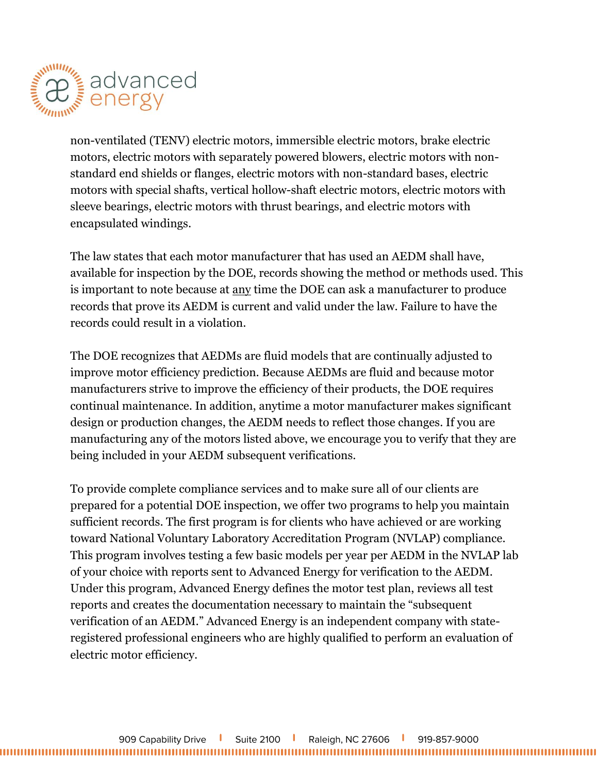

non-ventilated (TENV) electric motors, immersible electric motors, brake electric motors, electric motors with separately powered blowers, electric motors with nonstandard end shields or flanges, electric motors with non-standard bases, electric motors with special shafts, vertical hollow-shaft electric motors, electric motors with sleeve bearings, electric motors with thrust bearings, and electric motors with encapsulated windings.

The law states that each motor manufacturer that has used an AEDM shall have, available for inspection by the DOE, records showing the method or methods used. This is important to note because at any time the DOE can ask a manufacturer to produce records that prove its AEDM is current and valid under the law. Failure to have the records could result in a violation.

The DOE recognizes that AEDMs are fluid models that are continually adjusted to improve motor efficiency prediction. Because AEDMs are fluid and because motor manufacturers strive to improve the efficiency of their products, the DOE requires continual maintenance. In addition, anytime a motor manufacturer makes significant design or production changes, the AEDM needs to reflect those changes. If you are manufacturing any of the motors listed above, we encourage you to verify that they are being included in your AEDM subsequent verifications.

To provide complete compliance services and to make sure all of our clients are prepared for a potential DOE inspection, we offer two programs to help you maintain sufficient records. The first program is for clients who have achieved or are working toward National Voluntary Laboratory Accreditation Program (NVLAP) compliance. This program involves testing a few basic models per year per AEDM in the NVLAP lab of your choice with reports sent to Advanced Energy for verification to the AEDM. Under this program, Advanced Energy defines the motor test plan, reviews all test reports and creates the documentation necessary to maintain the "subsequent verification of an AEDM." Advanced Energy is an independent company with stateregistered professional engineers who are highly qualified to perform an evaluation of electric motor efficiency.